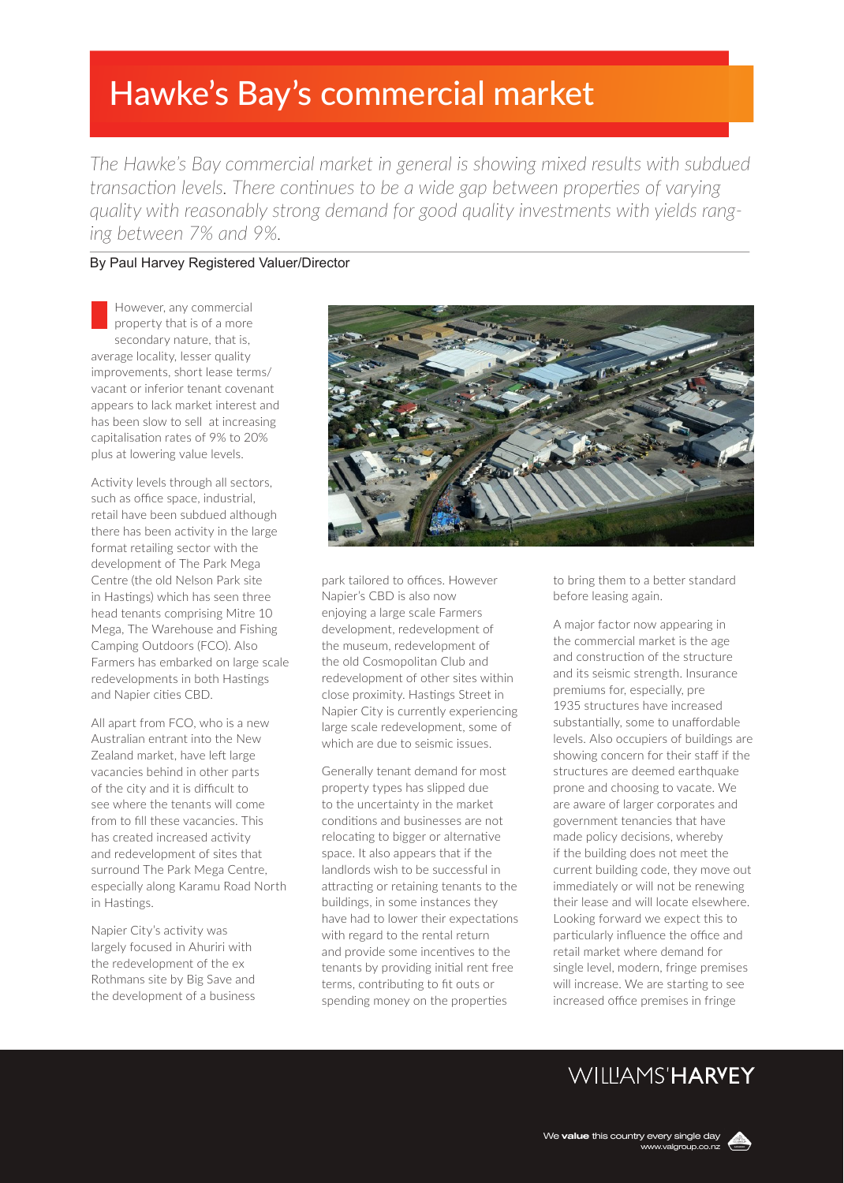# Hawke's Bay's commercial market

*The Hawke's Bay commercial market in general is showing mixed results with subdued transaction levels. There continues to be a wide gap between properties of varying quality with reasonably strong demand for good quality investments with yields ranging between 7% and 9%.* 

### By Paul Harvey Registered Valuer/Director

However, any commercial property that is of a more secondary nature, that is, average locality, lesser quality improvements, short lease terms/ vacant or inferior tenant covenant appears to lack market interest and has been slow to sell at increasing capitalisation rates of 9% to 20% plus at lowering value levels.

Activity levels through all sectors, such as office space, industrial, retail have been subdued although there has been activity in the large format retailing sector with the development of The Park Mega Centre (the old Nelson Park site in Hastings) which has seen three head tenants comprising Mitre 10 Mega, The Warehouse and Fishing Camping Outdoors (FCO). Also Farmers has embarked on large scale redevelopments in both Hastings and Napier cities CBD.

All apart from FCO, who is a new Australian entrant into the New Zealand market, have left large vacancies behind in other parts of the city and it is difficult to see where the tenants will come from to fill these vacancies. This has created increased activity and redevelopment of sites that surround The Park Mega Centre, especially along Karamu Road North in Hastings.

Napier City's activity was largely focused in Ahuriri with the redevelopment of the ex Rothmans site by Big Save and the development of a business



park tailored to offices. However Napier's CBD is also now enjoying a large scale Farmers development, redevelopment of the museum, redevelopment of the old Cosmopolitan Club and redevelopment of other sites within close proximity. Hastings Street in Napier City is currently experiencing large scale redevelopment, some of which are due to seismic issues.

Generally tenant demand for most property types has slipped due to the uncertainty in the market conditions and businesses are not relocating to bigger or alternative space. It also appears that if the landlords wish to be successful in attracting or retaining tenants to the buildings, in some instances they have had to lower their expectations with regard to the rental return and provide some incentives to the tenants by providing initial rent free terms, contributing to fit outs or spending money on the properties

to bring them to a better standard before leasing again.

A major factor now appearing in the commercial market is the age and construction of the structure and its seismic strength. Insurance premiums for, especially, pre 1935 structures have increased substantially, some to unaffordable levels. Also occupiers of buildings are showing concern for their staff if the structures are deemed earthquake prone and choosing to vacate. We are aware of larger corporates and government tenancies that have made policy decisions, whereby if the building does not meet the current building code, they move out immediately or will not be renewing their lease and will locate elsewhere. Looking forward we expect this to particularly influence the office and retail market where demand for single level, modern, fringe premises will increase. We are starting to see increased office premises in fringe